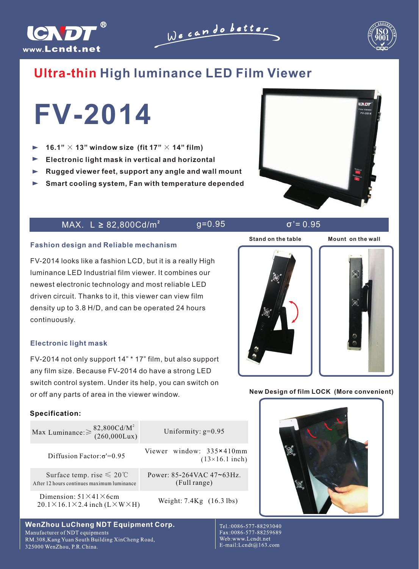

We can do better



EV. Sox

# **Ultra-thin High luminance LED Film Viewer**

**FV-2014**

- $\blacksquare$ 16.1"  $\times$  13" window size (fit 17"  $\times$  14" film)
- **Electronic light mask in vertical and horizontal**
- **Rugged viewer feet, support any angle and wall mount**
- **Smart cooling system, Fan with temperature depended**

### $MAX. L ≥ 82,800Cd/m<sup>2</sup>$  g=0.95  $σ' = 0.95$

**Stand on the table Mount on the wall**



FV-2014 looks like a fashion LCD, but it is a really High luminance LED Industrial film viewer. It combines our newest electronic technology and most reliable LED driven circuit. Thanks to it, this viewer can view film density up to 3.8 H/D, and can be operated 24 hours continuously.

### **Electronic light mask**

FV-2014 not only support 14" \* 17" film, but also support any film size. Because FV-2014 do have a strong LED switch control system. Under its help, you can switch on or off any parts of area in the viewer window.

### **Specification:**

| Max Luminance: $\geq \frac{82,800 \text{Cd/M}^2}{(260,000 \text{Lux})}$                           | Uniformity: $g=0.95$                              |
|---------------------------------------------------------------------------------------------------|---------------------------------------------------|
| Diffusion Factor: $\sigma$ '=0.95                                                                 | Viewer window: 335×410mm<br>$(13\times16.1$ inch) |
| Surface temp. rise $\leq 20^{\circ}$ C<br>After 12 hours continues maximum luminance              | Power: 85-264VAC 47~63Hz.<br>(Full range)         |
| Dimension: $51\times41\times6$ cm<br>$20.1 \times 16.1 \times 2.4$ inch (L $\times$ W $\times$ H) | Weight: 7.4Kg (16.3 lbs)                          |

## **WenZhou LuCheng NDT Equipment Corp.**

Manufacturer of NDT equipments RM.308, Kang Yuan South Building XinCheng Road, 325000 WenZhou, P.R.China.



**New Design of film LOCK (More convenient)**

Tel.:0086-577-88293040 Fax:0086-577-88259689 Web:www.Lcndt.net E-mail:Lcndt@163.com